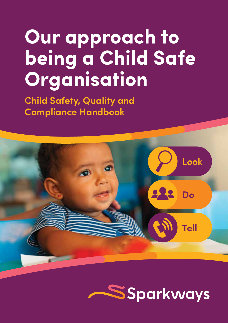# **Our approach to being a Child Safe Organisation**

**Child Safety, Quality and Compliance Handbook**



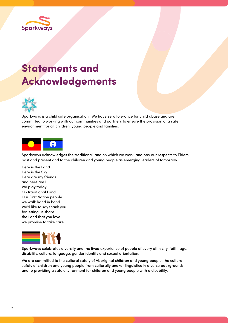

### **Statements and Acknowledgements**



Sparkways is a child safe organisation. We have zero tolerance for child abuse and are committed to working with our communities and partners to ensure the provision of a safe environment for all children, young people and families.



Sparkways acknowledges the traditional land on which we work, and pay our respects to Elders past and present and to the children and young people as emerging leaders of tomorrow.

Here is the Land Here is the Sky Here are my friends and here am I We play today On traditional Land Our First Nation people we walk hand in hand We'd like to say thank you for letting us share the Land that you love we promise to take care.



Sparkways celebrates diversity and the lived experience of people of every ethnicity, faith, age, disability, culture, language, gender identity and sexual orientation.

We are committed to the cultural safety of Aboriginal children and young people, the cultural safety of children and young people from culturally and/or linguistically diverse backgrounds, and to providing a safe environment for children and young people with a disability.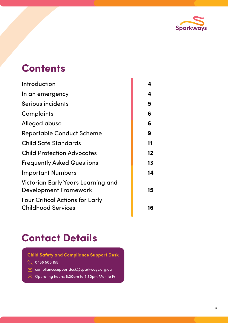

### **Contents**

| Introduction                                                        | 4  |
|---------------------------------------------------------------------|----|
| In an emergency                                                     | 4  |
| Serious incidents                                                   | 5  |
| Complaints                                                          | 6  |
| Alleged abuse                                                       | 6  |
| <b>Reportable Conduct Scheme</b>                                    | 9  |
| <b>Child Safe Standards</b>                                         | 11 |
| <b>Child Protection Advocates</b>                                   | 12 |
| <b>Frequently Asked Questions</b>                                   | 13 |
| <b>Important Numbers</b>                                            | 14 |
| Victorian Early Years Learning and<br><b>Development Framework</b>  | 15 |
| <b>Four Critical Actions for Early</b><br><b>Childhood Services</b> | 16 |
|                                                                     |    |

è

### **Contact Details**

**Child Safety and Compliance Support Desk**

- $\sqrt{\phantom{0}}$  0458 500 155
- compliancesupportdesk@sparkways.org.au
- $\beta$  Operating hours: 8.30am to 5.30pm Mon to Fri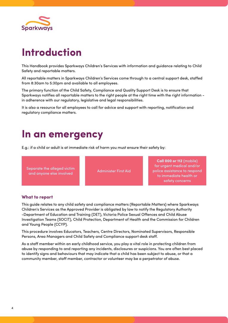

# **Introduction**

This Handbook provides Sparkways Children's Services with information and guidance relating to Child Safety and reportable matters.

All reportable matters in Sparkways Children's Services come through to a central support desk, staffed from 8:30am to 5:30pm and available to all employees.

The primary function of the Child Safety, Compliance and Quality Support Desk is to ensure that Sparkways notifies all reportable matters to the right people at the right time with the right information in adherence with our regulatory, legislative and legal responsibilities.

It is also a resource for all employees to call for advice and support with reporting, notification and regulatory compliance matters.

### **In an emergency**

E.g.: if a child or adult is at immediate risk of harm you must ensure their safety by:

Separate the alleged victim and anyone else involved and anyone else involved

**Call 000 or 112** (mobile) for urgent medical and/or police assistance to respond to immediate health or safety concerns

#### **What to report**

This guide relates to any child safety and compliance matters (Reportable Matters) where Sparkways Children's Services as the Approved Provider is obligated by law to notify the Regulatory Authority -Department of Education and Training (DET), Victoria Police Sexual Offences and Child Abuse Investigation Teams (SOCIT), Child Protection, Department of Health and the Commission for Children and Young People (CCYP).

This procedure involves Educators, Teachers, Centre Directors, Nominated Supervisors, Responsible Persons, Area Managers and Child Safety and Compliance support desk staff.

As a staff member within an early childhood service, you play a vital role in protecting children from abuse by responding to and reporting any incidents, disclosures or suspicions. You are often best placed to identify signs and behaviours that may indicate that a child has been subject to abuse, or that a community member, staff member, contractor or volunteer may be a perpetrator of abuse.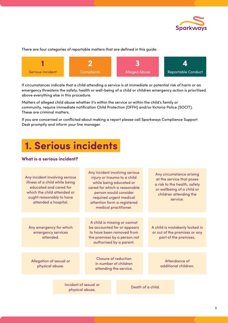

#### There are four categories of reportable matters that are defined in this guide:



If circumstances indicate that a child attending a service is at immediate or potential risk of harm or an emergency threatens the safety, health or well-being of a child or children emergency action is prioritised above everything else in this procedure.

Matters of alleged child abuse whether it's within the service or within the child's family or community, require immediate notification Child Protection (DFFH) and/or Victoria Police (SOCIT). These are criminal matters.

If you are concerned or conflicted about making a report please call Sparkways Compliance Support Desk promptly and inform your line manager.

### **1. Serious incidents**

#### **What is a serious incident?**

| Any incident involving serious<br>illness of a child while being<br>educated and cared for<br>which the child attended or<br>ought reasonably to have<br>attended a hospital. |                                          |                                                                                                                                                     | Any incident involving serious<br>injury or trauma to a child<br>while being educated or<br>cared for which a reasonable<br>person would consider<br>required urgent medical<br>attention form a registered<br>medical practitioner. |  |                   | Any circumstance arising<br>at the service that poses<br>a risk to the health, safety<br>or wellbeing of a child or<br>children attending the<br>service. |
|-------------------------------------------------------------------------------------------------------------------------------------------------------------------------------|------------------------------------------|-----------------------------------------------------------------------------------------------------------------------------------------------------|--------------------------------------------------------------------------------------------------------------------------------------------------------------------------------------------------------------------------------------|--|-------------------|-----------------------------------------------------------------------------------------------------------------------------------------------------------|
|                                                                                                                                                                               |                                          |                                                                                                                                                     |                                                                                                                                                                                                                                      |  |                   |                                                                                                                                                           |
| Any emergency for which<br>emergency services<br>attended.                                                                                                                    |                                          | A child is missing or cannot<br>be accounted for or appears<br>to have been removed from<br>the premises by a person not<br>authorised by a parent. |                                                                                                                                                                                                                                      |  |                   | A child is mistakenly locked in<br>or out of the premises or any<br>part of the premises.                                                                 |
|                                                                                                                                                                               |                                          |                                                                                                                                                     |                                                                                                                                                                                                                                      |  |                   |                                                                                                                                                           |
| Allegation of sexual or<br>physical abuse.                                                                                                                                    |                                          | Closure of reduction<br>in number of children<br>attending the service.                                                                             |                                                                                                                                                                                                                                      |  |                   | Attendance of<br>additional children.                                                                                                                     |
|                                                                                                                                                                               |                                          |                                                                                                                                                     |                                                                                                                                                                                                                                      |  |                   |                                                                                                                                                           |
|                                                                                                                                                                               | Incident of sexual or<br>physical abuse. |                                                                                                                                                     |                                                                                                                                                                                                                                      |  | Death of a child. |                                                                                                                                                           |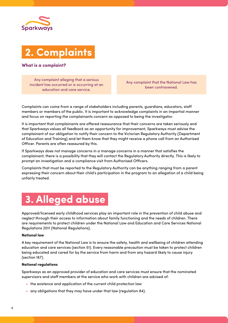



#### **What is a complaint?**

Any complaint alleging that a serious incident has occurred or is occurring at an education and care service.

Any complaint that the National Law has been contravened.

Complaints can come from a range of stakeholders including parents, guardians, educators, staff members or members of the public. It is important to acknowledge complaints in an impartial manner and focus on reporting the complainants concern as opposed to being the investigator.

It is important that complainants are offered reassurance that their concerns are taken seriously and that Sparkways values all feedback as an opportunity for improvement, Sparkways must advise the complainant of our obligation to notify their concern to the Victorian Regulatory Authority (Department of Education and Training) and let them know that they might receive a phone call from an Authorised Officer. Parents are often reassured by this.

If Sparkways does not manage concerns in a manage concerns in a manner that satisfies the complainant, there is a possibility that they will contact the Regulatory Authority directly. This is likely to prompt an investigation and a compliance visit from Authorised Officers.

Complaints that must be reported to the Regulatory Authority can be anything ranging from a parent expressing their concern about their child's participation in the program to an allegation of a child being unfairly treated.

### **3. Alleged abuse**

Approved/licensed early childhood services play an important role in the prevention of child abuse and neglect through their access to information about family functioning and the needs of children. There are requirements to protect children under the National Law and Education and Care Services National Regulations 2011 (National Regulations).

#### **National law**

A key requirement of the National Law is to ensure the safety, health and wellbeing of children attending education and care services (section 51). Every reasonable precaution must be taken to protect children being educated and cared for by the service from harm and from any hazard likely to cause injury (section 167).

#### **National regulations**

Sparkways as an approved provider of education and care services must ensure that the nominated supervisors and staff members at the service who work with children are advised of:

- the existence and application of the current child protection law
- any obligations that they may have under that law (regulation 84).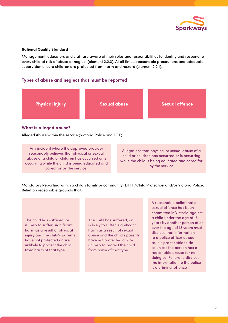

#### **National Quality Standard**

Management, educators and staff are aware of their roles and responsibilities to identify and respond to every child at risk of abuse or neglect (element 2.2.3). At all times, reasonable precautions and adequate supervision ensure children are protected from harm and hazard (element 2.2.1).

#### **Types of abuse and neglect that must be reported**



#### **What is alleged abuse?**

Alleged Abuse within the service (Victoria Police and DET)

Any incident where the approved provider reasonably believes that physical or sexual abuse of a child or children has occurred or is occurring while the child is being educated and cared for by the service.

Allegations that physical or sexual abuse of a child or children has occurred or is occurring while the child is being educated and cared for by the service

Mandatory Reporting within a child's family or community (DFFH/Child Protection and/or Victoria Police. Belief on reasonable grounds that

The child has suffered, or is likely to suffer, significant harm as a result of physical injury and the child's parents have not protected or are unlikely to protect the child from harm of that type.

The child has suffered, or is likely to suffer, significant harm as a result of sexual abuse and the child's parents have not protected or are unlikely to protect the child from harm of that type.

A reasonable belief that a sexual offence has been committed in Victoria against a child under the age of 16 years by another person of or over the age of 18 years must disclose that information to a police officer as soon as it is practicable to do so unless the person has a reasonable excuse for not doing so. Failure to disclose the information to the police is a criminal offence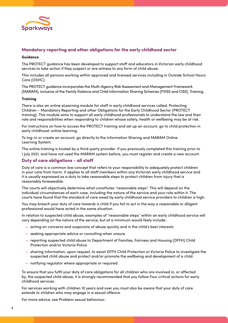

#### **Mandatory reporting and other obligations for the early childhood sector**

#### **Guidance**

The PROTECT guidance has been developed to support staff and educators in Victorian early childhood services to take action if they suspect or are witness to any form of child abuse.

This includes all persons working within approved and licensed services including in Outside School Hours Care (OSHC).

The PROTECT guidance incorporates the Multi-Agency Risk Assessment and Management Framework (MARAM), inclusive of the Family Violence and Child Information Sharing Schemes (FVISS and CISS). Training.

#### **Training**

There is also an online eLearning module for staff in early childhood services called, Protecting Children – Mandatory Reporting and other Obligations for the Early Childhood Sector (PROTECT training). This module aims to support all early childhood professionals to understand the law and their role and responsibilities when responding to children whose safety, health or wellbeing may be at risk.

For instructions on how to access the PROTECT training and set up an account, go to child protection in early childhood: online learning.

To log-in or create an account, go directly to the Information Sharing and MARAM Online Learning System.

The online training is hosted by a third-party provider. If you previously completed this training prior to 1 July 2021, and have not used the MARAM system before, you must register and create a new account.

#### **Duty of care obligations - all staff**

Duty of care is a common law concept that refers to your responsibility to adequately protect children in your care from harm. It applies to all staff members within any Victorian early childhood service and it is usually expressed as a duty to take reasonable steps to protect children from injury that is reasonably foreseeable.

The courts will objectively determine what constitutes "reasonable steps". This will depend on the individual circumstances of each case, including the nature of the service and your role within it. The courts have found that the standard of care owed by early childhood service providers to children is high.

You may breach your duty of care towards a child if you fail to act in the way a reasonable or diligent professional would have acted in the same situation.

In relation to suspected child abuse, examples of "reasonable steps" within an early childhood service will vary depending on the nature of the service, but at a minimum would likely include:

- acting on concerns and suspicions of abuse quickly and in the child's best interests
- seeking appropriate advice or consulting when unsure
- reporting suspected child abuse to Department of Families, Fairness and Housing (DFFH) Child Protection and/or Victoria Police
- sharing information, upon request, to assist DFFH Child Protection or Victoria Police to investigate the suspected child abuse and protect and/or promote the wellbeing and development of a child
- notifying regulator where appropriate or required.

To ensure that you fulfil your duty of care obligations for all children who are involved in, or affected by, the suspected child abuse, it is strongly recommended that you follow Four critical actions for early childhood services.

For services working with children 10 years and over you must also be aware that your duty of care extends to children who may engage in a sexual offence.

For more advice, see Problem sexual behaviour.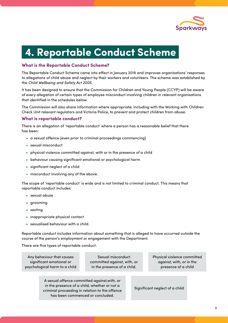

### **4. Reportable Conduct Scheme**

#### **What is the Reportable Conduct Scheme?**

The Reportable Conduct Scheme came into effect in January 2019 and improves organisations' responses to allegations of child abuse and neglect by their workers and volunteers. The scheme was established by the *Child Wellbeing and Safety Act 2005*.

It has been designed to ensure that the Commission for Children and Young People (CCYP) will be aware of every allegation of certain types of employee misconduct involving children in relevant organisations that identified in the schedules below.

The Commission will also share information where appropriate, including with the Working with Children Check Unit relevant regulators and Victoria Police, to prevent and protect children from abuse.

#### **What is reportable conduct?**

There is an allegation of 'reportable conduct' where a person has a reasonable belief that there has been:

- a sexual offence (even prior to criminal proceedings commencing)
- sexual misconduct
- physical violence committed against, with or in the presence of a child
- behaviour causing significant emotional or psychological harm
- significant neglect of a child
- misconduct involving any of the above.

The scope of 'reportable conduct' is wide and is not limited to criminal conduct. This means that reportable conduct includes:

- sexual abuse
- grooming
- sexting
- inappropriate physical contact
- sexualised behaviour with a child.

Reportable conduct includes information about something that is alleged to have occurred outside the course of the person's employment or engagement with the Department.

There are five types of reportable conduct:

Any behaviour that causes significant emotional or psychological harm to a child

Sexual misconduct committed against, with, or in the presence of a child.

Physical violence committed against, with, or in the presence of a child

A sexual offence committed against,with, or in the presence of a child, whether or not a criminal proceeding in relation to the offence has been commenced or concluded.

Significant neglect of a child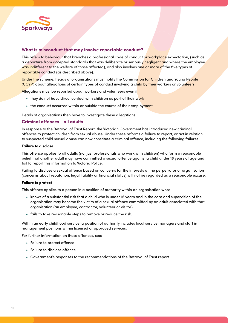

#### **What is misconduct that may involve reportable conduct?**

This refers to behaviour that breaches a professional code of conduct or workplace expectation, (such as a departure from accepted standards that was deliberate or seriously negligent and where the employee was indifferent to the welfare of those affected), and also involves one or more of the five types of reportable conduct (as described above).

Under the scheme, heads of organisations must notify the Commission for Children and Young People (CCYP) about allegations of certain types of conduct involving a child by their workers or volunteers.

Allegations must be reported about workers and volunteers even if:

- they do not have direct contact with children as part of their work
- the conduct occurred within or outside the course of their employment

Heads of organisations then have to investigate these allegations.

#### **Criminal offences - all adults**

In response to the Betrayal of Trust Report, the Victorian Government has introduced new criminal offences to protect children from sexual abuse. Under these reforms a failure to report, or act in relation to suspected child sexual abuse can now constitute a criminal offence, including the following failures.

#### **Failure to disclose**

This offence applies to all adults (not just professionals who work with children) who form a reasonable belief that another adult may have committed a sexual offence against a child under 16 years of age and fail to report this information to Victoria Police.

Failing to disclose a sexual offence based on concerns for the interests of the perpetrator or organisation (concerns about reputation, legal liability or financial status) will not be regarded as a reasonable excuse.

#### **Failure to protect**

This offence applies to a person in a position of authority within an organisation who:

- knows of a substantial risk that a child who is under 16 years and in the care and supervision of the organisation may become the victim of a sexual offence committed by an adult associated with that organisation (an employee, contractor, volunteer or visitor)
- fails to take reasonable steps to remove or reduce the risk.

Within an early childhood service, a position of authority includes local service managers and staff in management positions within licensed or approved services.

For further information on these offences, see:

- Failure to protect offence
- Failure to disclose offence
- Government's responses to the recommendations of the Betrayal of Trust report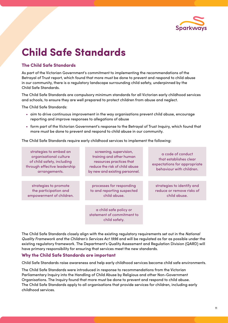

### **Child Safe Standards**

#### **The Child Safe Standards**

As part of the Victorian Government's commitment to implementing the recommendations of the Betrayal of Trust report, which found that more must be done to prevent and respond to child abuse in our community, there is a regulatory landscape surrounding child safety, underpinned by the Child Safe Standards.

The Child Safe Standards are compulsory minimum standards for all Victorian early childhood services and schools, to ensure they are well prepared to protect children from abuse and neglect.

The Child Safe Standards:

- aim to drive continuous improvement in the way organisations prevent child abuse, encourage reporting and improve responses to allegations of abuse
- form part of the Victorian Government's response to the Betrayal of Trust Inquiry, which found that more must be done to prevent and respond to child abuse in our community.

The Child Safe Standards require early childhood services to implement the following:

| strategies to embed an<br>organisational culture<br>of child safety, including<br>through effective leadership<br>arrangements. | screening, supervision,<br>training and other human<br>resources practices that<br>reduce the risk of child abuse<br>by new and existing personnel. | a code of conduct<br>that establishes clear<br>expectations for appropriate<br>behaviour with children. |
|---------------------------------------------------------------------------------------------------------------------------------|-----------------------------------------------------------------------------------------------------------------------------------------------------|---------------------------------------------------------------------------------------------------------|
|                                                                                                                                 |                                                                                                                                                     |                                                                                                         |
| strategies to promote<br>the participation and<br>empowerment of children.                                                      | processes for responding<br>to and reporting suspected<br>child abuse.                                                                              | strategies to identify and<br>reduce or remove risks of<br>child abuse.                                 |
|                                                                                                                                 |                                                                                                                                                     |                                                                                                         |
|                                                                                                                                 | a child safe policy or<br>statement of commitment to<br>child safety.                                                                               |                                                                                                         |

The Child Safe Standards closely align with the existing regulatory requirements set out in the *National Quality Framework and the Children's Services Act 1996* and will be regulated as far as possible under the existing regulatory framework. The Department's Quality Assessment and Regulation Division (QARD) will have primary responsibility for ensuring that services meet the new standards.

#### **Why the Child Safe Standards are important**

Child Safe Standards raise awareness and help early childhood services become child safe environments.

The Child Safe Standards were introduced in response to recommendations from the Victorian Parliamentary Inquiry into the Handling of Child Abuse by Religious and other Non-Government Organisations. The Inquiry found that more must be done to prevent and respond to child abuse. The Child Safe Standards apply to all organisations that provide services for children, including early childhood services.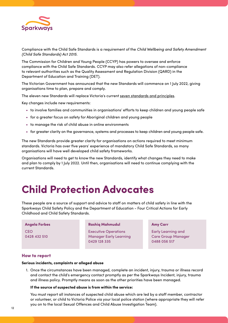

Compliance with the Child Safe Standards is a requirement of the *Child Wellbeing and Safety Amendment (Child Safe Standards) Act 2015.*

The Commission for Children and Young People (CCYP) has powers to oversee and enforce compliance with the Child Safe Standards. CCYP may also refer allegations of non-compliance to relevant authorities such as the Quality Assessment and Regulation Division (QARD) in the Department of Education and Training (DET).

The Victorian Government has announced that the new Standards will commence on 1 July 2022, giving organisations time to plan, prepare and comply.

The eleven new Standards will replace Victoria's current seven standards and principles.

Key changes include new requirements:

- to involve families and communities in organisations' efforts to keep children and young people safe
- for a greater focus on safety for Aboriginal children and young people
- to manage the risk of child abuse in online environments
- for greater clarity on the governance, systems and processes to keep children and young people safe.

The new Standards provide greater clarity for organisations on actions required to meet minimum standards. Victoria has over five years' experience of mandatory Child Safe Standards, so many organisations will have well developed child safety frameworks.

Organisations will need to get to know the new Standards, identify what changes they need to make and plan to comply by 1 July 2022. Until then, organisations will need to continue complying with the current Standards.

### **Child Protection Advocates**

These people are a source of support and advice to staff on matters of child safety in line with the Sparkways Child Safety Policy and the Department of Education - Four Critical Actions for Early Childhood and Child Safety Standards.

#### **Angela Forbes**

**CEO** 0428 432 510

#### **Rashiq Mahmudul**

Executive Operations Manager Early Learning 0429 128 335

#### **Amy Carr**

Early Learning and Care Group Manager 0488 056 517

#### **How to report**

#### **Serious incidents, complaints or alleged abuse**

1. Once the circumstances have been managed, complete an incident, injury, trauma or illness record and contact the child's emergency contact promptly as per the Sparkways Incident, injury, trauma and illness policy. Promptly means as soon as the other priorities have been managed.

#### **If the source of suspected abuse is from within the service:**

You must report all instances of suspected child abuse which are led by a staff member, contractor or volunteer, or child to Victoria Police via your local police station (where appropriate they will refer you on to the local Sexual Offences and Child Abuse Investigation Team).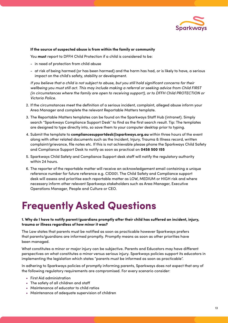

#### **If the source of suspected abuse is from within the family or community**

You **must** report to DFFH Child Protection if a child is considered to be:

- in need of protection from child abuse
- at risk of being harmed (or has been harmed) and the harm has had, or is likely to have, a serious impact on the child's safety, stability or development.

*If you believe that a child is not subject to abuse, but you still hold significant concerns for their wellbeing you must still act. This may include making a referral or seeking advice from Child FIRST (in circumstances where the family are open to receiving support), or to DFFH Child PROTECTION or Victoria Police.*

- 2. If the circumstances meet the definition of a serious incident, complaint, alleged abuse inform your Area Manager and complete the relevant Reportable Matters template.
- 3. The Reportable Matters templates can be found on the Sparkways Staff Hub (intranet). Simply search "Sparkways Compliance Support Desk" to find as the first search result. Tip: The templates are designed to type directly into, so save them to your computer desktop prior to typing.
- 4. Submit the template to **compliancesupportdesk@sparkways.org.au** within three hours of the event along with other related documents such as the Incident, Injury, Trauma & Illness record, written complaint/grievance, file notes etc. If this is not achievable please phone the Sparkways Child Safety and Compliance Support Desk to notify as soon as practical on **0458 500 155**
- 5. Sparkways Child Safety and Compliance Support desk staff will notify the regulatory authority within 24 hours.
- 6. The reporter of the reportable matter will receive an acknowledgement email containing a unique reference number for future reference e.g. CID001. The Child Safety and Compliance support desk will assess and prioritise each reportable matter as LOW, MEDIUM or HIGH risk and where necessary inform other relevant Sparkways stakeholders such as Area Manager, Executive Operations Manager, People and Culture or CEO.

### **Frequently Asked Questions**

#### **1. Why do I have to notify parent/guardians promptly after their child has suffered an incident, injury, trauma or illness regardless of how minor it was?**

The Law states that parents must be notified as soon as practicable however Sparkways prefers that parents/guardians are informed promptly. Promptly means as soon as other priorities have been managed.

What constitutes a minor or major injury can be subjective. Parents and Educators may have different perspectives on what constitutes a minor versus serious injury. Sparkways policies support its educators in implementing the legislation which states "parents must be informed as soon as practicable".

In adhering to Sparkways policies of promptly informing parents, Sparkways does not expect that any of the following regulatory requirements are compromised. For every scenario consider:

- First Aid administration
- The safety of all children and staff
- Maintenance of educator to child ratios
- Maintenance of adequate supervision of children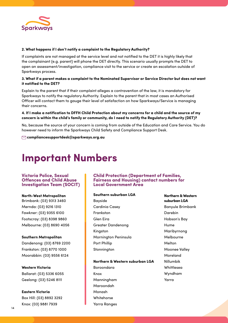

#### **2. What happens if I don't notify a complaint to the Regulatory Authority?**

If complaints are not managed at the service level and not notified to the DET it is highly likely that the complainant (e.g. parent) will phone the DET directly. This scenario usually prompts the DET to open an assessment/investigation, compliance visit to the service or create an escalation outside of Sparkways process.

#### **3. What if a parent makes a complaint to the Nominated Supervisor or Service Director but does not want it notified to the DET?**

Explain to the parent that if their complaint alleges a contravention of the law, it is mandatory for Sparkways to notify the regulatory Authority. Explain to the parent that in most cases an Authorised Officer will contact them to gauge their level of satisfaction on how Sparkways/Service is managing their concerns.

#### **4. If I make a notification to DFFH Child Protection about my concerns for a child and the source of my concern is within the child's family or community, do I need to notify the Regulatory Authority (DET)?**

No, because the source of your concern is coming from outside of the Education and Care Service. You do however need to inform the Sparkways Child Safety and Compliance Support Desk.

 **compliancesupportdesk@sparkways.org.au**

### **Important Numbers**

#### **Victoria Police, Sexual Offences and Child Abuse Investigation Team (SOCIT)**

**North-West Metropolitan**  Brimbank: (03) 9313 3460 Mernda: (03) 9216 1310 Fawkner: (03) 9355 6100

Footscray: (03) 8398 9860 Melbourne: (03) 8690 4056

#### **Southern Metropolitan**

Dandenong: (03) 8769 2200 Frankston: (03) 8770 1000 Moorabbin: (03) 9556 6124

**Western Victoria** Ballarat: (03) 5336 6055

**Eastern Victoria** Box Hill: (03) 8892 3292

Knox: (03) 9881 7939

Geelong: (03) 5246 8111

#### **Child Protection (Department of Families, Fairness and Housing) contact numbers for Local Government Area**

#### **Southern suburban LGA**

Bayside Cardinia Casey Frankston Glen Eira Greater Dandenong Kingston Mornington Peninsula Port Phillip **Stonnington** 

**Northern & Western suburban LGA**  Boroondara Knox Manningham Maroondah Monash Whitehorse

Yarra Ranges

**Northern & Western suburban LGA**  Banyule Brimbank Darebin Hobson's Bay Hume Maribyrnong Melbourne Melton Moonee Valley Moreland Nillumbik Whittlesea Wyndham Yarra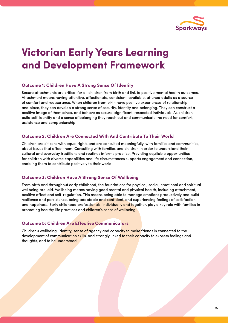

### **Victorian Early Years Learning and Development Framework**

#### **Outcome 1: Children Have A Strong Sense Of Identity**

Secure attachments are critical for all children from birth and link to positive mental health outcomes. Attachment means having attentive, affectionate, consistent, available, attuned adults as a source of comfort and reassurance. When children from birth have positive experiences of relationship and place, they can develop a strong sense of security, identity and belonging. They can construct a positive image of themselves, and behave as secure, significant, respected individuals. As children build self-identity and a sense of belonging they reach out and communicate the need for comfort, assistance and companionship.

#### **Outcome 2: Children Are Connected With And Contribute To Their World**

Children are citizens with equal rights and are consulted meaningfully, with families and communities, about issues that affect them. Consulting with families and children in order to understand their cultural and everyday traditions and routines informs practice. Providing equitable opportunities for children with diverse capabilities and life circumstances supports engagement and connection, enabling them to contribute positively to their world.

#### **Outcome 3: Children Have A Strong Sense Of Wellbeing**

From birth and throughout early childhood, the foundations for physical, social, emotional and spiritual wellbeing are laid. Wellbeing means having good mental and physical health, including attachment, positive affect and self-regulation. This means being able to manage emotions productively and build resilience and persistence, being adaptable and confident, and experiencing feelings of satisfaction and happiness. Early childhood professionals, individually and together, play a key role with families in promoting healthy life practices and children's sense of wellbeing.

#### **Outcome 5: Children Are Effective Communicators**

Children's wellbeing, identity, sense of agency and capacity to make friends is connected to the development of communication skills, and strongly linked to their capacity to express feelings and thoughts, and to be understood.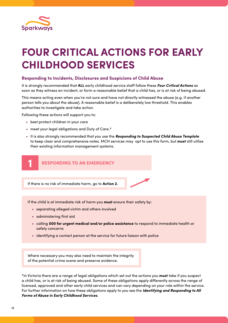

# **FOUR CRITICAL ACTIONS FOR EARLY CHILDHOOD SERVICES**

#### **Responding to Incidents, Disclosures and Suspicions of Child Abuse**

It is strongly recommended that **ALL** early childhood service staff follow these *Four Critical Actions* as soon as they witness an incident, or form a reasonable belief that a child has, or is at risk of being abused.

This means acting even when you're not sure and have not directly witnessed the abuse (e.g. if another person tells you about the abuse). A reasonable belief is a deliberately low threshold. This enables authorities to investigate and take action.

Following these actions will support you to:

- best protect children in your care
- meet your legal obligations and Duty of Care.\*
- It is also strongly recommended that you use the *Responding to Suspected Child Abuse Template* to keep clear and comprehensive notes. MCH services may opt to use this form, but **must** still utilise their existing information management systems.



If the child is at immediate risk of harm you **must** ensure their safety by:

- separating alleged victim and others involved
- administering first aid
- calling **000 for urgent medical and/or police assistance** to respond to immediate health or safety concerns
- identifying a contact person at the service for future liaison with police

Where necessary you may also need to maintain the integrity of the potential crime scene and preserve evidence.

\*In Victoria there are a range of legal obligations which set out the actions you **must** take if you suspect a child has, or is at risk of being abused. Some of these obligations apply differently across the range of licensed, approved and other early child services and can vary depending on your role within the service. For further information on how these obligations apply to you see the *Identifying and Responding to All Forms of Abuse in Early Childhood Services*.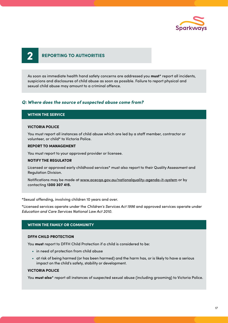

### **2 REPORTING TO AUTHORITIES**

As soon as immediate health hand safety concerns are addressed you **must**\* report all incidents, suspicions and disclosures of child abuse as soon as possible. Failure to report physical and sexual child abuse may amount to a criminal offence.

#### *Q: Where does the source of suspected abuse come from?*

#### **WITHIN THE SERVICE**

#### **VICTORIA POLICE**

You must report all instances of child abuse which are led by a staff member, contractor or volunteer, or child\* to Victoria Police.

#### **REPORT TO MANAGEMENT**

You must report to your approved provider or licensee.

#### **NOTIFY THE REGULATOR**

Licensed or approved early childhood services\* must also report to their Quality Assessment and Regulation Division.

Notifications may be made at www.acecqa.gov.au/nationalquality-agenda-it-system or by contacting **1300 307 415.**

\*Sexual offending, involving children 10 years and over.

\*Licensed services operate under the Children's Services Act 1996 and approved services operate under Education and Care Services National Law Act 2010.

#### **WITHIN THE FAMILY OR COMMUNITY**

#### **DFFH CHILD PROTECTION**

You **must** report to DFFH Child Protection if a child is considered to be:

- in need of protection from child abuse
- at risk of being harmed (or has been harmed) and the harm has, or is likely to have a serious impact on the child's safety, stability or development.

#### **VICTORIA POLICE**

You **must also**\* report all instances of suspected sexual abuse (including grooming) to Victoria Police.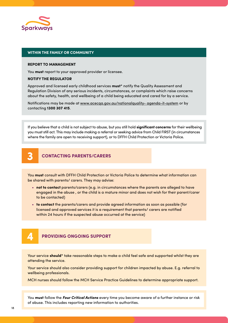

#### **WITHIN THE FAMILY OR COMMUNITY**

#### **REPORT TO MANAGEMENT**

You **must** report to your approved provider or licensee.

#### **NOTIFY THE REGULATOR**

Approved and licensed early childhood services **must**\* notify the Quality Assessment and Regulation Division of any serious incidents, circumstances, or complaints which raise concerns about the safety, health, and wellbeing of a child being educated and cared for by a service.

Notifications may be made at www.acecqa.gov.au/nationalquality- agenda-it-system or by contacting **1300 307 415**.

If you believe that a child is not subject to abuse, but you still hold **significant concerns** for their wellbeing you must still act. This may include making a referral or seeking advice from Child FIRST (in circumstances where the family are open to receiving support), or to DFFH Child Protection or Victoria Police.

### **3 CONTACTING PARENTS/CARERS**

You **must** consult with DFFH Child Protection or Victoria Police to determine what information can be shared with parents/ carers. They may advise:

- **not to contact** parents/carers (e.g. in circumstances where the parents are alleged to have engaged in the abuse , or the child is a mature minor and does not wish for their parent/carer to be contacted)
- **to contact** the parents/carers and provide agreed information as soon as possible (for licensed and approved services it is a requirement that parents/ carers are notified within 24 hours if the suspected abuse occurred at the service)



Your service **should**\* take reasonable steps to make a child feel safe and supported whilst they are attending the service.

Your service should also consider providing support for children impacted by abuse. E.g. referral to wellbeing professionals.

MCH nurses should follow the MCH Service Practice Guidelines to determine appropriate support.

You **must** follow the *Four Critical Actions* every time you become aware of a further instance or risk of abuse. This includes reporting new information to authorities.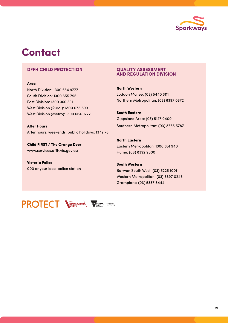

### **Contact**

#### **DFFH CHILD PROTECTION**

#### **Area**

North Division: 1300 664 9777 South Division: 1300 655 795 East Division: 1300 360 391 West Division (Rural): 1800 075 599 West Division (Metro): 1300 664 9777

**After Hours** After hours, weekends, public holidays: 13 12 78

**Child FIRST / The Orange Door** www.services.dffh.vic.gov.au

**Victoria Police** 000 or your local police station

#### **QUALITY ASSESSMENT AND REGULATION DIVISION**

**North Western** Loddon Mallee: (03) 5440 3111 Northern Metropolitan: (03) 8397 0372

**South Eastern** Gippsland Area: (03) 5127 0400 Southern Metropolitan: (03) 8765 5787

**North Eastern** Eastern Metropolitan: 1300 651 940 Hume: (03) 8392 9500

**South Western** Barwon South West: (03) 5225 1001 **FOUR CRITICAL ACTIONS FOR EARLY CHILDHOOD SERVICES** Western Metropolitan: (03) 8397 0246 **Four and Service state** in the state state in the Grampians: (03) 5337 8444 Responding to Incidents, Disclosures It is strongly recommended that **ALL** early

**PROTECT VELICATION** 

apply differently across the range



Sexual offending, involving